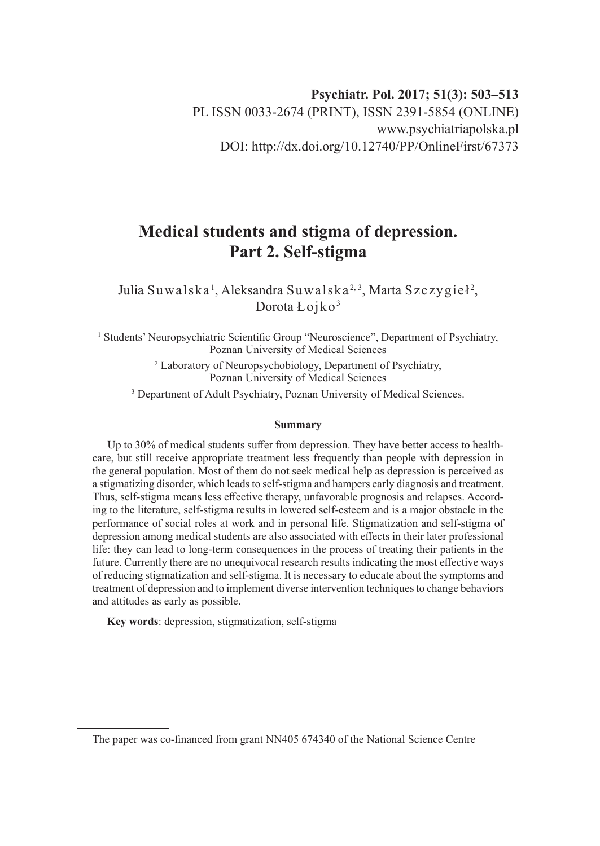# **Medical students and stigma of depression. Part 2. Self-stigma**

Julia Suwalska', Aleksandra Suwalska<sup>2, 3</sup>, Marta Szczygieł<sup>2</sup>, Dorota Łojko<sup>3</sup>

<sup>1</sup> Students' Neuropsychiatric Scientific Group "Neuroscience", Department of Psychiatry, Poznan University of Medical Sciences

<sup>2</sup> Laboratory of Neuropsychobiology, Department of Psychiatry, Poznan University of Medical Sciences

<sup>3</sup> Department of Adult Psychiatry, Poznan University of Medical Sciences.

#### **Summary**

Up to 30% of medical students suffer from depression. They have better access to healthcare, but still receive appropriate treatment less frequently than people with depression in the general population. Most of them do not seek medical help as depression is perceived as a stigmatizing disorder, which leads to self-stigma and hampers early diagnosis and treatment. Thus, self-stigma means less effective therapy, unfavorable prognosis and relapses. According to the literature, self-stigma results in lowered self-esteem and is a major obstacle in the performance of social roles at work and in personal life. Stigmatization and self-stigma of depression among medical students are also associated with effects in their later professional life: they can lead to long-term consequences in the process of treating their patients in the future. Currently there are no unequivocal research results indicating the most effective ways of reducing stigmatization and self-stigma. It is necessary to educate about the symptoms and treatment of depression and to implement diverse intervention techniques to change behaviors and attitudes as early as possible.

**Key words**: depression, stigmatization, self-stigma

The paper was co-financed from grant NN405 674340 of the National Science Centre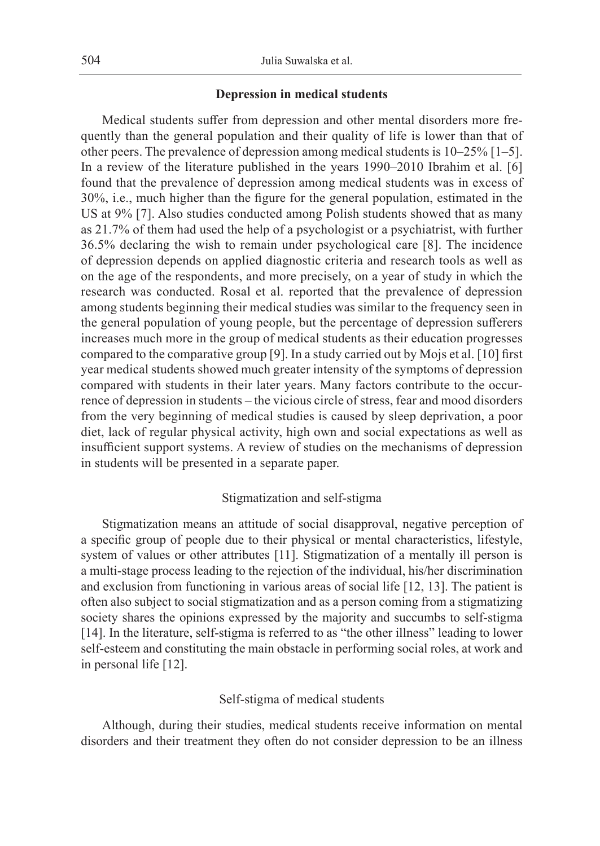## **Depression in medical students**

Medical students suffer from depression and other mental disorders more frequently than the general population and their quality of life is lower than that of other peers. The prevalence of depression among medical students is 10–25% [1–5]. In a review of the literature published in the years 1990–2010 Ibrahim et al. [6] found that the prevalence of depression among medical students was in excess of 30%, i.e., much higher than the figure for the general population, estimated in the US at 9% [7]. Also studies conducted among Polish students showed that as many as 21.7% of them had used the help of a psychologist or a psychiatrist, with further 36.5% declaring the wish to remain under psychological care [8]. The incidence of depression depends on applied diagnostic criteria and research tools as well as on the age of the respondents, and more precisely, on a year of study in which the research was conducted. Rosal et al. reported that the prevalence of depression among students beginning their medical studies was similar to the frequency seen in the general population of young people, but the percentage of depression sufferers increases much more in the group of medical students as their education progresses compared to the comparative group [9]. In a study carried out by Mojs et al. [10] first year medical students showed much greater intensity of the symptoms of depression compared with students in their later years. Many factors contribute to the occurrence of depression in students – the vicious circle of stress, fear and mood disorders from the very beginning of medical studies is caused by sleep deprivation, a poor diet, lack of regular physical activity, high own and social expectations as well as insufficient support systems. A review of studies on the mechanisms of depression in students will be presented in a separate paper.

# Stigmatization and self-stigma

Stigmatization means an attitude of social disapproval, negative perception of a specific group of people due to their physical or mental characteristics, lifestyle, system of values or other attributes [11]. Stigmatization of a mentally ill person is a multi-stage process leading to the rejection of the individual, his/her discrimination and exclusion from functioning in various areas of social life [12, 13]. The patient is often also subject to social stigmatization and as a person coming from a stigmatizing society shares the opinions expressed by the majority and succumbs to self-stigma [14]. In the literature, self-stigma is referred to as "the other illness" leading to lower self-esteem and constituting the main obstacle in performing social roles, at work and in personal life [12].

## Self-stigma of medical students

Although, during their studies, medical students receive information on mental disorders and their treatment they often do not consider depression to be an illness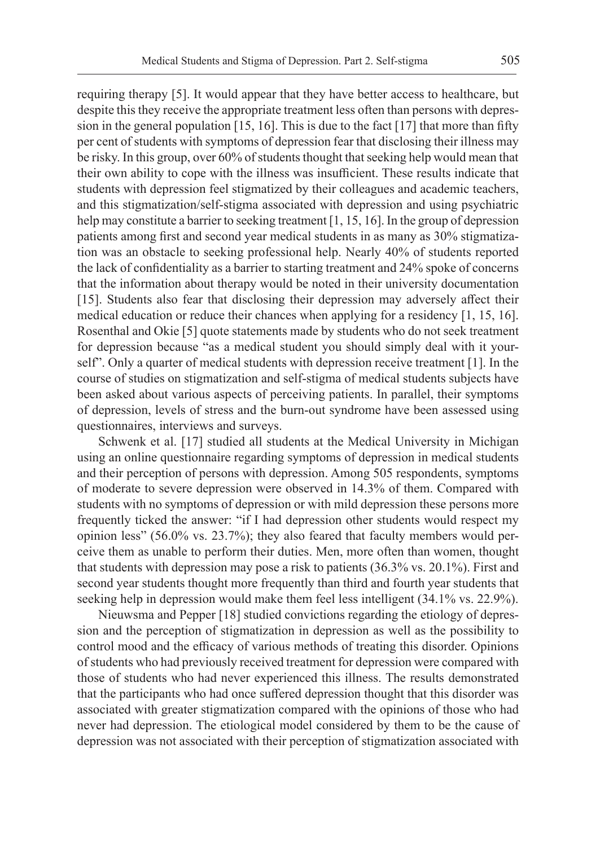requiring therapy [5]. It would appear that they have better access to healthcare, but despite this they receive the appropriate treatment less often than persons with depression in the general population  $[15, 16]$ . This is due to the fact  $[17]$  that more than fifty per cent of students with symptoms of depression fear that disclosing their illness may be risky. In this group, over 60% of students thought that seeking help would mean that their own ability to cope with the illness was insufficient. These results indicate that students with depression feel stigmatized by their colleagues and academic teachers, and this stigmatization/self-stigma associated with depression and using psychiatric help may constitute a barrier to seeking treatment [1, 15, 16]. In the group of depression patients among first and second year medical students in as many as 30% stigmatization was an obstacle to seeking professional help. Nearly 40% of students reported the lack of confidentiality as a barrier to starting treatment and 24% spoke of concerns that the information about therapy would be noted in their university documentation [15]. Students also fear that disclosing their depression may adversely affect their medical education or reduce their chances when applying for a residency [1, 15, 16]. Rosenthal and Okie [5] quote statements made by students who do not seek treatment for depression because "as a medical student you should simply deal with it yourself". Only a quarter of medical students with depression receive treatment [1]. In the course of studies on stigmatization and self-stigma of medical students subjects have been asked about various aspects of perceiving patients. In parallel, their symptoms of depression, levels of stress and the burn-out syndrome have been assessed using questionnaires, interviews and surveys.

Schwenk et al. [17] studied all students at the Medical University in Michigan using an online questionnaire regarding symptoms of depression in medical students and their perception of persons with depression. Among 505 respondents, symptoms of moderate to severe depression were observed in 14.3% of them. Compared with students with no symptoms of depression or with mild depression these persons more frequently ticked the answer: "if I had depression other students would respect my opinion less" (56.0% vs. 23.7%); they also feared that faculty members would perceive them as unable to perform their duties. Men, more often than women, thought that students with depression may pose a risk to patients (36.3% vs. 20.1%). First and second year students thought more frequently than third and fourth year students that seeking help in depression would make them feel less intelligent (34.1% vs. 22.9%).

Nieuwsma and Pepper [18] studied convictions regarding the etiology of depression and the perception of stigmatization in depression as well as the possibility to control mood and the efficacy of various methods of treating this disorder. Opinions of students who had previously received treatment for depression were compared with those of students who had never experienced this illness. The results demonstrated that the participants who had once suffered depression thought that this disorder was associated with greater stigmatization compared with the opinions of those who had never had depression. The etiological model considered by them to be the cause of depression was not associated with their perception of stigmatization associated with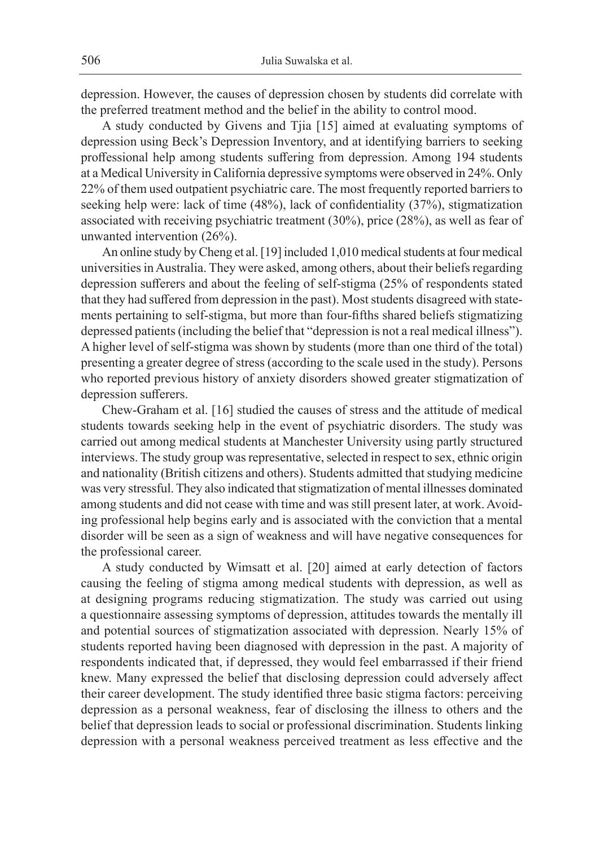depression. However, the causes of depression chosen by students did correlate with the preferred treatment method and the belief in the ability to control mood.

A study conducted by Givens and Tjia [15] aimed at evaluating symptoms of depression using Beck's Depression Inventory, and at identifying barriers to seeking proffessional help among students suffering from depression. Among 194 students at a Medical University in California depressive symptoms were observed in 24%. Only 22% of them used outpatient psychiatric care. The most frequently reported barriers to seeking help were: lack of time (48%), lack of confidentiality (37%), stigmatization associated with receiving psychiatric treatment (30%), price (28%), as well as fear of unwanted intervention (26%).

An online study by Cheng et al. [19] included 1,010 medical students at four medical universities in Australia. They were asked, among others, about their beliefs regarding depression sufferers and about the feeling of self-stigma (25% of respondents stated that they had suffered from depression in the past). Most students disagreed with statements pertaining to self-stigma, but more than four-fifths shared beliefs stigmatizing depressed patients (including the belief that "depression is not a real medical illness"). A higher level of self-stigma was shown by students (more than one third of the total) presenting a greater degree of stress (according to the scale used in the study). Persons who reported previous history of anxiety disorders showed greater stigmatization of depression sufferers.

Chew-Graham et al. [16] studied the causes of stress and the attitude of medical students towards seeking help in the event of psychiatric disorders. The study was carried out among medical students at Manchester University using partly structured interviews. The study group was representative, selected in respect to sex, ethnic origin and nationality (British citizens and others). Students admitted that studying medicine was very stressful. They also indicated that stigmatization of mental illnesses dominated among students and did not cease with time and was still present later, at work. Avoiding professional help begins early and is associated with the conviction that a mental disorder will be seen as a sign of weakness and will have negative consequences for the professional career.

A study conducted by Wimsatt et al. [20] aimed at early detection of factors causing the feeling of stigma among medical students with depression, as well as at designing programs reducing stigmatization. The study was carried out using a questionnaire assessing symptoms of depression, attitudes towards the mentally ill and potential sources of stigmatization associated with depression. Nearly 15% of students reported having been diagnosed with depression in the past. A majority of respondents indicated that, if depressed, they would feel embarrassed if their friend knew. Many expressed the belief that disclosing depression could adversely affect their career development. The study identified three basic stigma factors: perceiving depression as a personal weakness, fear of disclosing the illness to others and the belief that depression leads to social or professional discrimination. Students linking depression with a personal weakness perceived treatment as less effective and the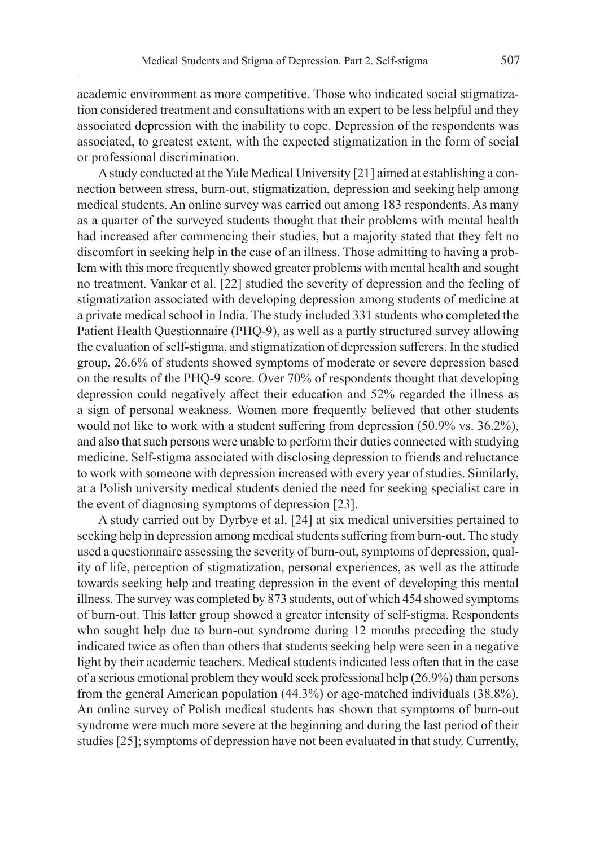academic environment as more competitive. Those who indicated social stigmatization considered treatment and consultations with an expert to be less helpful and they associated depression with the inability to cope. Depression of the respondents was associated, to greatest extent, with the expected stigmatization in the form of social or professional discrimination.

A study conducted at the Yale Medical University [21] aimed at establishing a connection between stress, burn-out, stigmatization, depression and seeking help among medical students. An online survey was carried out among 183 respondents. As many as a quarter of the surveyed students thought that their problems with mental health had increased after commencing their studies, but a majority stated that they felt no discomfort in seeking help in the case of an illness. Those admitting to having a problem with this more frequently showed greater problems with mental health and sought no treatment. Vankar et al. [22] studied the severity of depression and the feeling of stigmatization associated with developing depression among students of medicine at a private medical school in India. The study included 331 students who completed the Patient Health Questionnaire (PHQ-9), as well as a partly structured survey allowing the evaluation of self-stigma, and stigmatization of depression sufferers. In the studied group, 26.6% of students showed symptoms of moderate or severe depression based on the results of the PHQ-9 score. Over 70% of respondents thought that developing depression could negatively affect their education and 52% regarded the illness as a sign of personal weakness. Women more frequently believed that other students would not like to work with a student suffering from depression (50.9% vs. 36.2%), and also that such persons were unable to perform their duties connected with studying medicine. Self-stigma associated with disclosing depression to friends and reluctance to work with someone with depression increased with every year of studies. Similarly, at a Polish university medical students denied the need for seeking specialist care in the event of diagnosing symptoms of depression [23].

A study carried out by Dyrbye et al. [24] at six medical universities pertained to seeking help in depression among medical students suffering from burn-out. The study used a questionnaire assessing the severity of burn-out, symptoms of depression, quality of life, perception of stigmatization, personal experiences, as well as the attitude towards seeking help and treating depression in the event of developing this mental illness. The survey was completed by 873 students, out of which 454 showed symptoms of burn-out. This latter group showed a greater intensity of self-stigma. Respondents who sought help due to burn-out syndrome during 12 months preceding the study indicated twice as often than others that students seeking help were seen in a negative light by their academic teachers. Medical students indicated less often that in the case of a serious emotional problem they would seek professional help (26.9%) than persons from the general American population (44.3%) or age-matched individuals (38.8%). An online survey of Polish medical students has shown that symptoms of burn-out syndrome were much more severe at the beginning and during the last period of their studies [25]; symptoms of depression have not been evaluated in that study. Currently,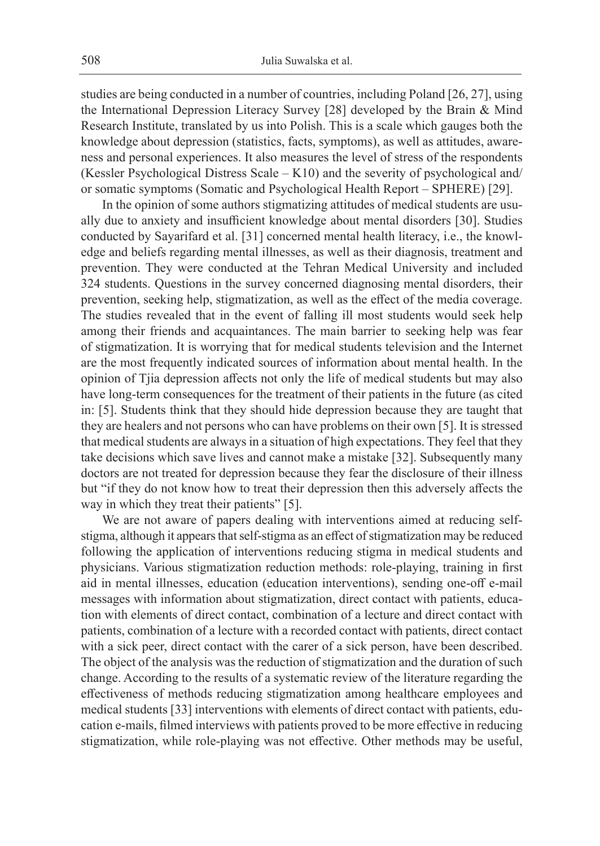studies are being conducted in a number of countries, including Poland [26, 27], using the International Depression Literacy Survey [28] developed by the Brain & Mind Research Institute, translated by us into Polish. This is a scale which gauges both the knowledge about depression (statistics, facts, symptoms), as well as attitudes, awareness and personal experiences. It also measures the level of stress of the respondents (Kessler Psychological Distress Scale  $- K10$ ) and the severity of psychological and/ or somatic symptoms (Somatic and Psychological Health Report – SPHERE) [29].

In the opinion of some authors stigmatizing attitudes of medical students are usually due to anxiety and insufficient knowledge about mental disorders [30]. Studies conducted by Sayarifard et al. [31] concerned mental health literacy, i.e., the knowledge and beliefs regarding mental illnesses, as well as their diagnosis, treatment and prevention. They were conducted at the Tehran Medical University and included 324 students. Questions in the survey concerned diagnosing mental disorders, their prevention, seeking help, stigmatization, as well as the effect of the media coverage. The studies revealed that in the event of falling ill most students would seek help among their friends and acquaintances. The main barrier to seeking help was fear of stigmatization. It is worrying that for medical students television and the Internet are the most frequently indicated sources of information about mental health. In the opinion of Tjia depression affects not only the life of medical students but may also have long-term consequences for the treatment of their patients in the future (as cited in: [5]. Students think that they should hide depression because they are taught that they are healers and not persons who can have problems on their own [5]. It is stressed that medical students are always in a situation of high expectations. They feel that they take decisions which save lives and cannot make a mistake [32]. Subsequently many doctors are not treated for depression because they fear the disclosure of their illness but "if they do not know how to treat their depression then this adversely affects the way in which they treat their patients" [5].

We are not aware of papers dealing with interventions aimed at reducing selfstigma, although it appears that self-stigma as an effect of stigmatization may be reduced following the application of interventions reducing stigma in medical students and physicians. Various stigmatization reduction methods: role-playing, training in first aid in mental illnesses, education (education interventions), sending one-off e-mail messages with information about stigmatization, direct contact with patients, education with elements of direct contact, combination of a lecture and direct contact with patients, combination of a lecture with a recorded contact with patients, direct contact with a sick peer, direct contact with the carer of a sick person, have been described. The object of the analysis was the reduction of stigmatization and the duration of such change. According to the results of a systematic review of the literature regarding the effectiveness of methods reducing stigmatization among healthcare employees and medical students [33] interventions with elements of direct contact with patients, education e-mails, filmed interviews with patients proved to be more effective in reducing stigmatization, while role-playing was not effective. Other methods may be useful,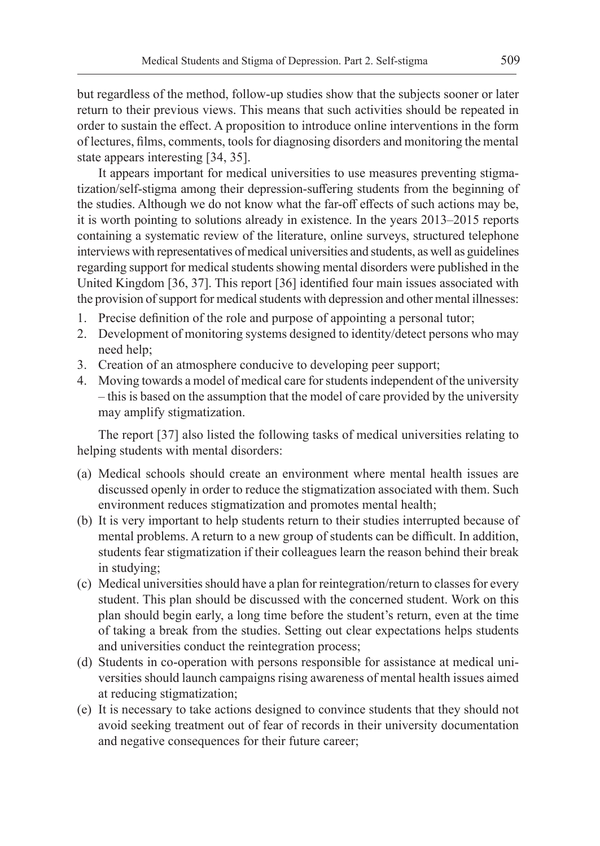but regardless of the method, follow-up studies show that the subjects sooner or later return to their previous views. This means that such activities should be repeated in order to sustain the effect. A proposition to introduce online interventions in the form of lectures, films, comments, tools for diagnosing disorders and monitoring the mental state appears interesting [34, 35].

It appears important for medical universities to use measures preventing stigmatization/self-stigma among their depression-suffering students from the beginning of the studies. Although we do not know what the far-off effects of such actions may be, it is worth pointing to solutions already in existence. In the years 2013–2015 reports containing a systematic review of the literature, online surveys, structured telephone interviews with representatives of medical universities and students, as well as guidelines regarding support for medical students showing mental disorders were published in the United Kingdom [36, 37]. This report [36] identified four main issues associated with the provision of support for medical students with depression and other mental illnesses:

- 1. Precise definition of the role and purpose of appointing a personal tutor;
- 2. Development of monitoring systems designed to identity/detect persons who may need help;
- 3. Creation of an atmosphere conducive to developing peer support;
- 4. Moving towards a model of medical care for students independent of the university – this is based on the assumption that the model of care provided by the university may amplify stigmatization.

The report [37] also listed the following tasks of medical universities relating to helping students with mental disorders:

- (a) Medical schools should create an environment where mental health issues are discussed openly in order to reduce the stigmatization associated with them. Such environment reduces stigmatization and promotes mental health;
- (b) It is very important to help students return to their studies interrupted because of mental problems. A return to a new group of students can be difficult. In addition, students fear stigmatization if their colleagues learn the reason behind their break in studying;
- (c) Medical universities should have a plan for reintegration/return to classes for every student. This plan should be discussed with the concerned student. Work on this plan should begin early, a long time before the student's return, even at the time of taking a break from the studies. Setting out clear expectations helps students and universities conduct the reintegration process;
- (d) Students in co-operation with persons responsible for assistance at medical universities should launch campaigns rising awareness of mental health issues aimed at reducing stigmatization;
- (e) It is necessary to take actions designed to convince students that they should not avoid seeking treatment out of fear of records in their university documentation and negative consequences for their future career;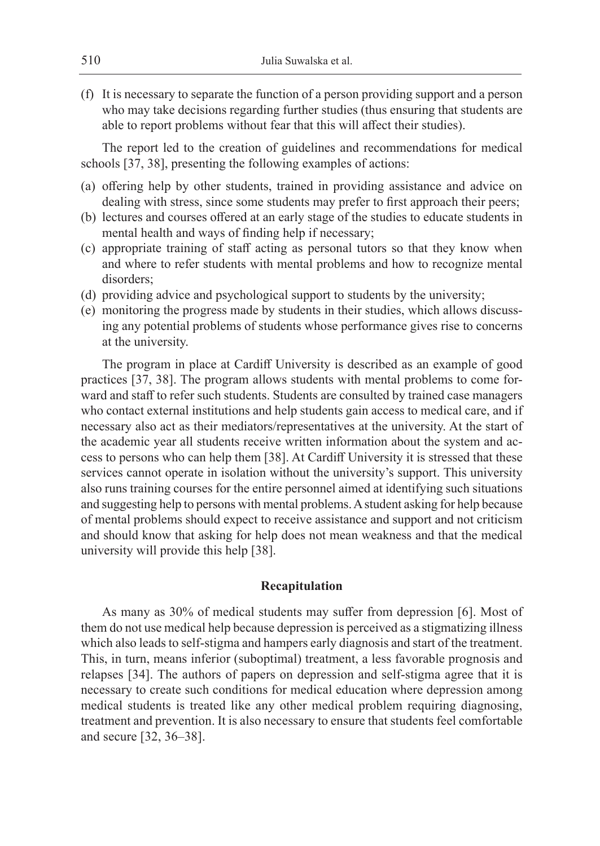(f) It is necessary to separate the function of a person providing support and a person who may take decisions regarding further studies (thus ensuring that students are able to report problems without fear that this will affect their studies).

The report led to the creation of guidelines and recommendations for medical schools [37, 38], presenting the following examples of actions:

- (a) offering help by other students, trained in providing assistance and advice on dealing with stress, since some students may prefer to first approach their peers;
- (b) lectures and courses offered at an early stage of the studies to educate students in mental health and ways of finding help if necessary;
- (c) appropriate training of staff acting as personal tutors so that they know when and where to refer students with mental problems and how to recognize mental disorders;
- (d) providing advice and psychological support to students by the university;
- (e) monitoring the progress made by students in their studies, which allows discussing any potential problems of students whose performance gives rise to concerns at the university.

The program in place at Cardiff University is described as an example of good practices [37, 38]. The program allows students with mental problems to come forward and staff to refer such students. Students are consulted by trained case managers who contact external institutions and help students gain access to medical care, and if necessary also act as their mediators/representatives at the university. At the start of the academic year all students receive written information about the system and access to persons who can help them [38]. At Cardiff University it is stressed that these services cannot operate in isolation without the university's support. This university also runs training courses for the entire personnel aimed at identifying such situations and suggesting help to persons with mental problems. A student asking for help because of mental problems should expect to receive assistance and support and not criticism and should know that asking for help does not mean weakness and that the medical university will provide this help [38].

## **Recapitulation**

As many as 30% of medical students may suffer from depression [6]. Most of them do not use medical help because depression is perceived as a stigmatizing illness which also leads to self-stigma and hampers early diagnosis and start of the treatment. This, in turn, means inferior (suboptimal) treatment, a less favorable prognosis and relapses [34]. The authors of papers on depression and self-stigma agree that it is necessary to create such conditions for medical education where depression among medical students is treated like any other medical problem requiring diagnosing, treatment and prevention. It is also necessary to ensure that students feel comfortable and secure [32, 36–38].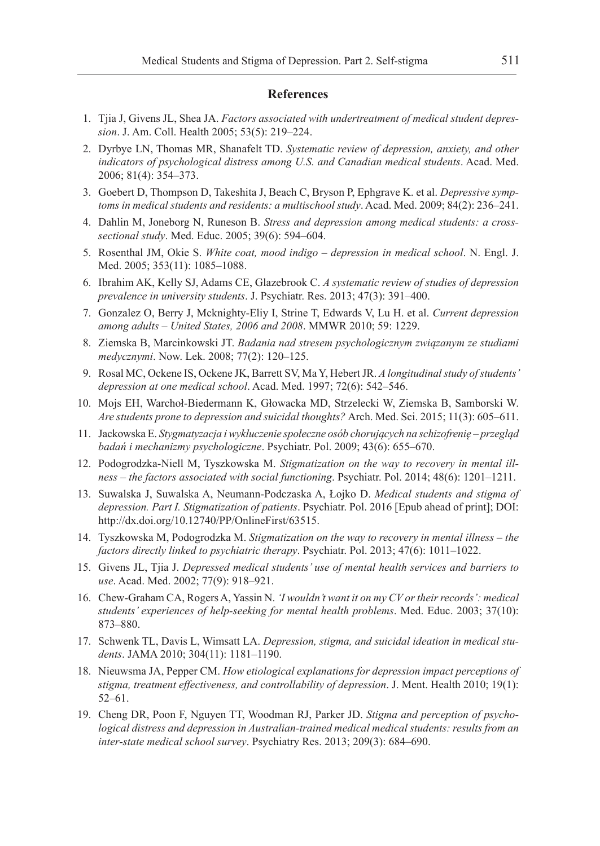## **References**

- 1. Tjia J, Givens JL, Shea JA. *Factors associated with undertreatment of medical student depression*. J. Am. Coll. Health 2005; 53(5): 219–224.
- 2. Dyrbye LN, Thomas MR, Shanafelt TD. *Systematic review of depression, anxiety, and other indicators of psychological distress among U.S. and Canadian medical students*. Acad. Med. 2006; 81(4): 354–373.
- 3. Goebert D, Thompson D, Takeshita J, Beach C, Bryson P, Ephgrave K. et al. *Depressive symptoms in medical students and residents: a multischool study*. Acad. Med. 2009; 84(2): 236–241.
- 4. Dahlin M, Joneborg N, Runeson B. *Stress and depression among medical students: a crosssectional study*. Med. Educ. 2005; 39(6): 594–604.
- 5. Rosenthal JM, Okie S. *White coat, mood indigo depression in medical school*. N. Engl. J. Med. 2005; 353(11): 1085–1088.
- 6. Ibrahim AK, Kelly SJ, Adams CE, Glazebrook C. *A systematic review of studies of depression prevalence in university students*. J. Psychiatr. Res. 2013; 47(3): 391–400.
- 7. Gonzalez O, Berry J, Mcknighty-Eliy I, Strine T, Edwards V, Lu H. et al. *Current depression among adults – United States, 2006 and 2008*. MMWR 2010; 59: 1229.
- 8. Ziemska B, Marcinkowski JT. *Badania nad stresem psychologicznym związanym ze studiami medycznymi*. Now. Lek. 2008; 77(2): 120–125.
- 9. Rosal MC, Ockene IS, Ockene JK, Barrett SV, Ma Y, Hebert JR. *A longitudinal study of students' depression at one medical school*. Acad. Med. 1997; 72(6): 542–546.
- 10. Mojs EH, Warchoł-Biedermann K, Głowacka MD, Strzelecki W, Ziemska B, Samborski W. *Are students prone to depression and suicidal thoughts?* Arch. Med. Sci. 2015; 11(3): 605–611.
- 11. Jackowska E. *Stygmatyzacja i wykluczenie społeczne osób chorujących na schizofrenię przegląd badań i mechanizmy psychologiczne*. Psychiatr. Pol. 2009; 43(6): 655–670.
- 12. Podogrodzka-Niell M, Tyszkowska M. *Stigmatization on the way to recovery in mental illness – the factors associated with social functioning*. Psychiatr. Pol. 2014; 48(6): 1201–1211.
- 13. Suwalska J, Suwalska A, Neumann-Podczaska A, Łojko D. *Medical students and stigma of depression. Part I. Stigmatization of patients*. Psychiatr. Pol. 2016 [Epub ahead of print]; DOI: http://dx.doi.org/10.12740/PP/OnlineFirst/63515.
- 14. Tyszkowska M, Podogrodzka M. *Stigmatization on the way to recovery in mental illness the factors directly linked to psychiatric therapy*. Psychiatr. Pol. 2013; 47(6): 1011–1022.
- 15. Givens JL, Tjia J. *Depressed medical students' use of mental health services and barriers to use*. Acad. Med. 2002; 77(9): 918–921.
- 16. Chew-Graham CA, Rogers A, Yassin N. *'I wouldn't want it on my CV or their records': medical students' experiences of help-seeking for mental health problems*. Med. Educ. 2003; 37(10): 873–880.
- 17. Schwenk TL, Davis L, Wimsatt LA. *Depression, stigma, and suicidal ideation in medical students*. JAMA 2010; 304(11): 1181–1190.
- 18. Nieuwsma JA, Pepper CM. *How etiological explanations for depression impact perceptions of stigma, treatment effectiveness, and controllability of depression*. J. Ment. Health 2010; 19(1): 52–61.
- 19. Cheng DR, Poon F, Nguyen TT, Woodman RJ, Parker JD. *Stigma and perception of psychological distress and depression in Australian-trained medical medical students: results from an inter-state medical school survey*. Psychiatry Res. 2013; 209(3): 684–690.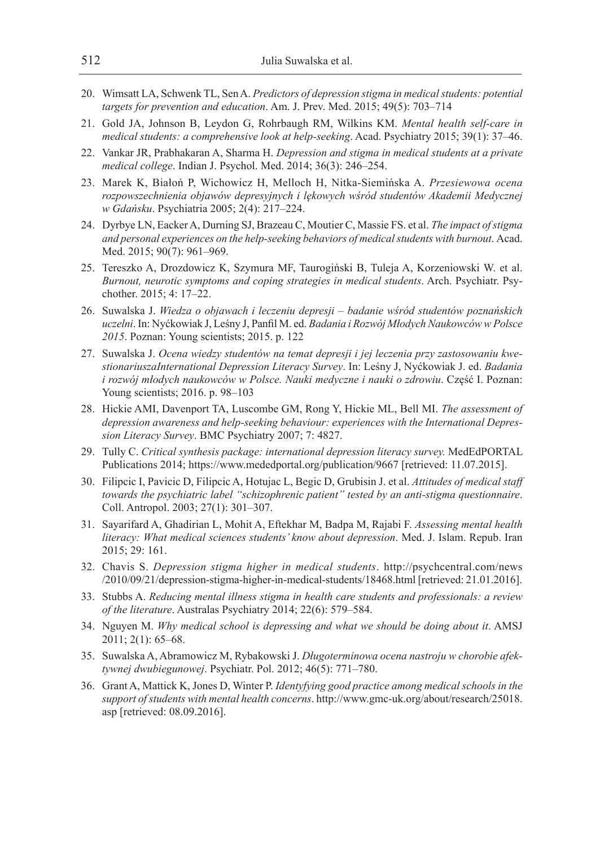- 20. Wimsatt LA, Schwenk TL, Sen A. *Predictors of depression stigma in medical students: potential targets for prevention and education*. Am. J. Prev. Med. 2015; 49(5): 703–714
- 21. Gold JA, Johnson B, Leydon G, Rohrbaugh RM, Wilkins KM. *Mental health self-care in medical students: a comprehensive look at help-seeking*. Acad. Psychiatry 2015; 39(1): 37–46.
- 22. Vankar JR, Prabhakaran A, Sharma H. *Depression and stigma in medical students at a private medical college*. Indian J. Psychol. Med. 2014; 36(3): 246–254.
- 23. Marek K, Białoń P, Wichowicz H, Melloch H, Nitka-Siemińska A. *Przesiewowa ocena rozpowszechnienia objawów depresyjnych i lękowych wśród studentów Akademii Medycznej w Gdańsku*. Psychiatria 2005; 2(4): 217–224.
- 24. Dyrbye LN, Eacker A, Durning SJ, Brazeau C, Moutier C, Massie FS. et al. *The impact of stigma and personal experiences on the help-seeking behaviors of medical students with burnout*. Acad. Med. 2015; 90(7): 961–969.
- 25. Tereszko A, Drozdowicz K, Szymura MF, Taurogiński B, Tuleja A, Korzeniowski W. et al. *Burnout, neurotic symptoms and coping strategies in medical students*. Arch. Psychiatr. Psychother. 2015; 4: 17–22.
- 26. Suwalska J. *Wiedza o objawach i leczeniu depresji badanie wśród studentów poznańskich uczelni*. In: Nyćkowiak J, Leśny J, Panfil M. ed. *Badania i Rozwój Młodych Naukowców w Polsce 2015*. Poznan: Young scientists; 2015. p. 122
- 27. Suwalska J. *Ocena wiedzy studentów na temat depresji i jej leczenia przy zastosowaniu kwestionariuszaInternational Depression Literacy Survey*. In: Leśny J, Nyćkowiak J. ed. *Badania i rozwój młodych naukowców w Polsce. Nauki medyczne i nauki o zdrowiu*. Część I. Poznan: Young scientists; 2016. p. 98–103
- 28. Hickie AMI, Davenport TA, Luscombe GM, Rong Y, Hickie ML, Bell MI. *The assessment of depression awareness and help-seeking behaviour: experiences with the International Depression Literacy Survey*. BMC Psychiatry 2007; 7: 4827.
- 29. Tully C. Critical synthesis package: international depression literacy survey. MedEdPORTAL Publications 2014; https://www.mededportal.org/publication/9667 [retrieved: 11.07.2015].
- 30. Filipcic I, Pavicic D, Filipcic A, Hotujac L, Begic D, Grubisin J. et al. *Attitudes of medical staff towards the psychiatric label "schizophrenic patient" tested by an anti-stigma questionnaire*. Coll. Antropol. 2003; 27(1): 301–307.
- 31. Sayarifard A, Ghadirian L, Mohit A, Eftekhar M, Badpa M, Rajabi F. *Assessing mental health literacy: What medical sciences students' know about depression*. Med. J. Islam. Repub. Iran 2015; 29: 161.
- 32. Chavis S. *Depression stigma higher in medical students*. http://psychcentral.com/news /2010/09/21/depression-stigma-higher-in-medical-students/18468.html [retrieved: 21.01.2016].
- 33. Stubbs A. *Reducing mental illness stigma in health care students and professionals: a review of the literature*. Australas Psychiatry 2014; 22(6): 579–584.
- 34. Nguyen M. *Why medical school is depressing and what we should be doing about it*. AMSJ 2011; 2(1): 65–68.
- 35. Suwalska A, Abramowicz M, Rybakowski J. *Długoterminowa ocena nastroju w chorobie afektywnej dwubiegunowej*. Psychiatr. Pol. 2012; 46(5): 771–780.
- 36. Grant A, Mattick K, Jones D, Winter P. *Identyfying good practice among medical schools in the support of students with mental health concerns*. http://www.gmc-uk.org/about/research/25018. asp [retrieved: 08.09.2016].